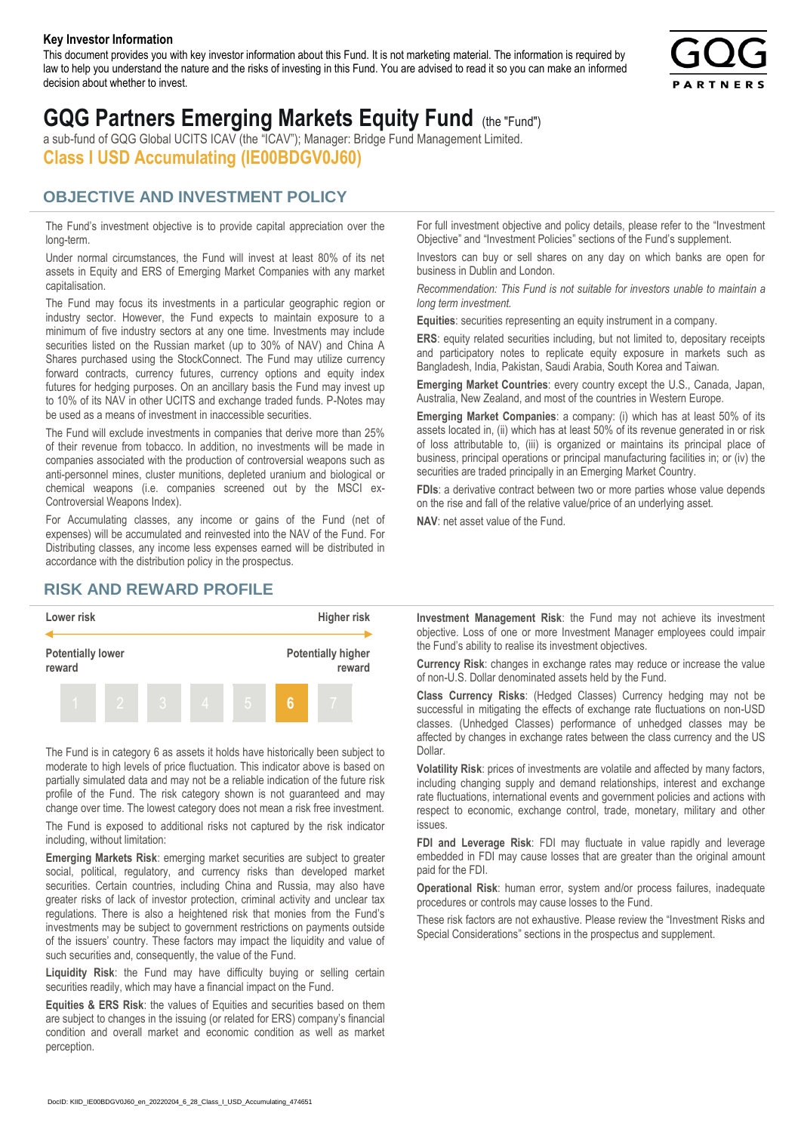#### **Key Investor Information**

This document provides you with key investor information about this Fund. It is not marketing material. The information is required by law to help you understand the nature and the risks of investing in this Fund. You are advised to read it so you can make an informed decision about whether to invest.



# **GQG Partners Emerging Markets Equity Fund** (the "Fund")

a sub-fund of GQG Global UCITS ICAV (the "ICAV"); Manager: Bridge Fund Management Limited. **Class I USD Accumulating (IE00BDGV0J60)**

### **OBJECTIVE AND INVESTMENT POLICY**

The Fund's investment objective is to provide capital appreciation over the long-term.

Under normal circumstances, the Fund will invest at least 80% of its net assets in Equity and ERS of Emerging Market Companies with any market capitalisation.

The Fund may focus its investments in a particular geographic region or industry sector. However, the Fund expects to maintain exposure to a minimum of five industry sectors at any one time. Investments may include securities listed on the Russian market (up to 30% of NAV) and China A Shares purchased using the StockConnect. The Fund may utilize currency forward contracts, currency futures, currency options and equity index futures for hedging purposes. On an ancillary basis the Fund may invest up to 10% of its NAV in other UCITS and exchange traded funds. P-Notes may be used as a means of investment in inaccessible securities.

The Fund will exclude investments in companies that derive more than 25% of their revenue from tobacco. In addition, no investments will be made in companies associated with the production of controversial weapons such as anti-personnel mines, cluster munitions, depleted uranium and biological or chemical weapons (i.e. companies screened out by the MSCI ex-Controversial Weapons Index).

For Accumulating classes, any income or gains of the Fund (net of expenses) will be accumulated and reinvested into the NAV of the Fund. For Distributing classes, any income less expenses earned will be distributed in accordance with the distribution policy in the prospectus.

## **RISK AND REWARD PROFILE**



The Fund is in category 6 as assets it holds have historically been subject to moderate to high levels of price fluctuation. This indicator above is based on partially simulated data and may not be a reliable indication of the future risk profile of the Fund. The risk category shown is not guaranteed and may change over time. The lowest category does not mean a risk free investment.

The Fund is exposed to additional risks not captured by the risk indicator including, without limitation:

**Emerging Markets Risk**: emerging market securities are subject to greater social, political, regulatory, and currency risks than developed market securities. Certain countries, including China and Russia, may also have greater risks of lack of investor protection, criminal activity and unclear tax regulations. There is also a heightened risk that monies from the Fund's investments may be subject to government restrictions on payments outside of the issuers' country. These factors may impact the liquidity and value of such securities and, consequently, the value of the Fund.

**Liquidity Risk**: the Fund may have difficulty buying or selling certain securities readily, which may have a financial impact on the Fund.

**Equities & ERS Risk**: the values of Equities and securities based on them are subject to changes in the issuing (or related for ERS) company's financial condition and overall market and economic condition as well as market perception.

For full investment objective and policy details, please refer to the "Investment Objective" and "Investment Policies" sections of the Fund's supplement.

Investors can buy or sell shares on any day on which banks are open for business in Dublin and London.

*Recommendation: This Fund is not suitable for investors unable to maintain a long term investment.*

**Equities**: securities representing an equity instrument in a company.

**ERS:** equity related securities including, but not limited to, depositary receipts and participatory notes to replicate equity exposure in markets such as Bangladesh, India, Pakistan, Saudi Arabia, South Korea and Taiwan.

**Emerging Market Countries**: every country except the U.S., Canada, Japan, Australia, New Zealand, and most of the countries in Western Europe.

**Emerging Market Companies**: a company: (i) which has at least 50% of its assets located in, (ii) which has at least 50% of its revenue generated in or risk of loss attributable to, (iii) is organized or maintains its principal place of business, principal operations or principal manufacturing facilities in; or (iv) the securities are traded principally in an Emerging Market Country.

**FDIs**: a derivative contract between two or more parties whose value depends on the rise and fall of the relative value/price of an underlying asset.

**NAV**: net asset value of the Fund.

**Investment Management Risk**: the Fund may not achieve its investment objective. Loss of one or more Investment Manager employees could impair the Fund's ability to realise its investment objectives.

**Currency Risk**: changes in exchange rates may reduce or increase the value of non-U.S. Dollar denominated assets held by the Fund.

**Class Currency Risks**: (Hedged Classes) Currency hedging may not be successful in mitigating the effects of exchange rate fluctuations on non-USD classes. (Unhedged Classes) performance of unhedged classes may be affected by changes in exchange rates between the class currency and the US Dollar.

**Volatility Risk**: prices of investments are volatile and affected by many factors, including changing supply and demand relationships, interest and exchange rate fluctuations, international events and government policies and actions with respect to economic, exchange control, trade, monetary, military and other issues.

**FDI and Leverage Risk**: FDI may fluctuate in value rapidly and leverage embedded in FDI may cause losses that are greater than the original amount paid for the FDI.

**Operational Risk**: human error, system and/or process failures, inadequate procedures or controls may cause losses to the Fund.

These risk factors are not exhaustive. Please review the "Investment Risks and Special Considerations" sections in the prospectus and supplement.